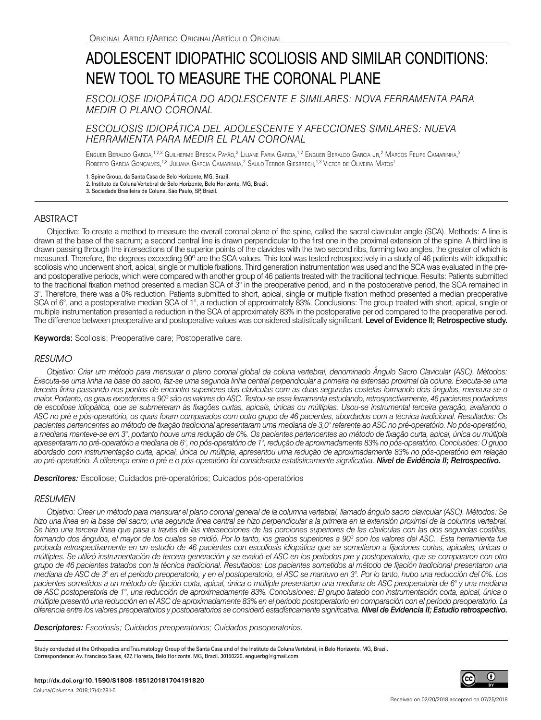# ADOLESCENT IDIOPATHIC SCOLIOSIS AND SIMILAR CONDITIONS: NEW TOOL TO MEASURE THE CORONAL PLANE

*ESCOLIOSE IDIOPÁTICA DO ADOLESCENTE E SIMILARES: NOVA FERRAMENTA PARA MEDIR O PLANO CORONAL*

*ESCOLIOSIS IDIOPÁTICA DEL ADOLESCENTE Y AFECCIONES SIMILARES: NUEVA HERRAMIENTA PARA MEDIR EL PLAN CORONAL*

Enguer Beraldo Garcia,<sup>1,2,3</sup> Guilherme Brescia Payão,<sup>2</sup> Liliane Faria Garcia,<sup>1,2</sup> Enguer Beraldo Garcia Jr,<sup>2</sup> Marcos Felipe Camarinha,<sup>2</sup> Roberto Garcia Gonçalves,<sup>1,3</sup> Juliana Garcia Camarinha,<sup>2</sup> Saulo Terror Giesbrech,<sup>1,3</sup> Victor de Oliveira Matos<sup>1</sup>

1. Spine Group, da Santa Casa de Belo Horizonte, MG, Brazil.

2. Instituto da Coluna Vertebral de Belo Horizonte, Belo Horizonte, MG, Brazil.

# ABSTRACT

Objective: To create a method to measure the overall coronal plane of the spine, called the sacral clavicular angle (SCA). Methods: A line is drawn at the base of the sacrum; a second central line is drawn perpendicular to the first one in the proximal extension of the spine. A third line is drawn passing through the intersections of the superior points of the clavicles with the two second ribs, forming two angles, the greater of which is measured. Therefore, the degrees exceeding 90° are the SCA values. This tool was tested retrospectively in a study of 46 patients with idiopathic scoliosis who underwent short, apical, single or multiple fixations. Third generation instrumentation was used and the SCA was evaluated in the preand postoperative periods, which were compared with another group of 46 patients treated with the traditional technique. Results: Patients submitted to the traditional fixation method presented a median SCA of  $3^\circ$  in the preoperative period, and in the postoperative period, the SCA remained in 3°. Therefore, there was a 0% reduction. Patients submitted to short, apical, single or multiple fixation method presented a median preoperative SCA of 6°, and a postoperative median SCA of 1°, a reduction of approximately 83%. Conclusions: The group treated with short, apical, single or multiple instrumentation presented a reduction in the SCA of approximately 83% in the postoperative period compared to the preoperative period. The difference between preoperative and postoperative values was considered statistically significant. Level of Evidence II; Retrospective study.

Keywords: Scoliosis; Preoperative care; Postoperative care.

### *RESUMO*

*Objetivo: Criar um método para mensurar o plano coronal global da coluna vertebral, denominado Ângulo Sacro Clavicular (ASC). Métodos: Executa-se uma linha na base do sacro, faz-se uma segunda linha central perpendicular a primeira na extensão proximal da coluna. Executa-se uma terceira linha passando nos pontos de encontro superiores das clavículas com as duas segundas costelas formando dois ângulos, mensura-se o maior. Portanto, os graus excedentes a 90º são os valores do ASC. Testou-se essa ferramenta estudando, retrospectivamente, 46 pacientes portadores de escoliose idiopática, que se submeteram às fixações curtas, apicais, únicas ou múltiplas. Usou-se instrumental terceira geração, avaliando o ASC no pré e pós-operatório, os quais foram comparados com outro grupo de 46 pacientes, abordados com a técnica tradicional. Resultados: Os pacientes pertencentes ao método de fixação tradicional apresentaram uma mediana de 3,0° referente ao ASC no pré-operatório. No pós-operatório, a mediana manteve-se em 3°, portanto houve uma redução de 0%. Os pacientes pertencentes ao método de fixação curta, apical, única ou múltipla apresentaram no pré-operatório a mediana de 6°, no pós-operatório de 1°, redução de aproximadamente 83% no pós-operatório. Conclusões: O grupo abordado com instrumentação curta, apical, única ou múltipla, apresentou uma redução de aproximadamente 83% no pós-operatório em relação*  ao pré-operatório. A diferença entre o pré e o pós-operatório foi considerada estatisticamente significativa. **Nível de Evidência II; Retrospectivo.** 

*Descritores:* Escoliose; Cuidados pré-operatórios; Cuidados pós-operatórios

# *RESUMEN*

*Objetivo: Crear un método para mensurar el plano coronal general de la columna vertebral, llamado ángulo sacro clavicular (ASC). Métodos: Se*  hizo una línea en la base del sacro; una segunda línea central se hizo perpendicular a la primera en la extensión proximal de la columna vertebral. Se hizo una tercera línea que pasa a través de las intersecciones de las porciones superiores de las clavículas con las dos segundas costillas, *formando dos ángulos, el mayor de los cuales se midió. Por lo tanto, los grados superiores a 90º son los valores del ASC. Esta herramienta fue probada retrospectivamente en un estudio de 46 pacientes con escoliosis idiopática que se sometieron a fijaciones cortas, apicales, únicas o múltiples. Se utilizó instrumentación de tercera generación y se evaluó el ASC en los períodos pre y postoperatorio, que se compararon con otro grupo de 46 pacientes tratados con la técnica tradicional. Resultados: Los pacientes sometidos al método de fijación tradicional presentaron una mediana de ASC de 3° en el período preoperatorio, y en el postoperatorio, el ASC se mantuvo en 3°. Por lo tanto, hubo una reducción del 0%. Los pacientes sometidos a un método de fijación corta, apical, única o múltiple presentaron una mediana de ASC preoperatoria de 6° y una mediana de ASC postoperatoria de 1°, una reducción de aproximadamente 83%. Conclusiones: El grupo tratado con instrumentación corta, apical, única o múltiple presentó una reducción en el ASC de aproximadamente 83% en el período postoperatorio en comparación con el período preoperatorio. La diferencia entre los valores preoperatorios y postoperatorios se consideró estadísticamente significativa. Nivel de Evidencia II; Estudio retrospectivo.*

*Descriptores: Escoliosis; Cuidados preoperatorios; Cuidados posoperatorios.*

Study conducted at the Orthopedics and Traumatology Group of the Santa Casa and of the Instituto da Coluna Vertebral, in Belo Horizonte, MG, Brazil. Correspondence: Av. Francisco Sales, 427, Floresta, Belo Horizonte, MG, Brazil. 30150220. enguerbg@gmail.com

(cc

 $\boldsymbol{\Theta}$ 

<sup>3.</sup> Sociedade Brasileira de Coluna, São Paulo, SP, Brazil.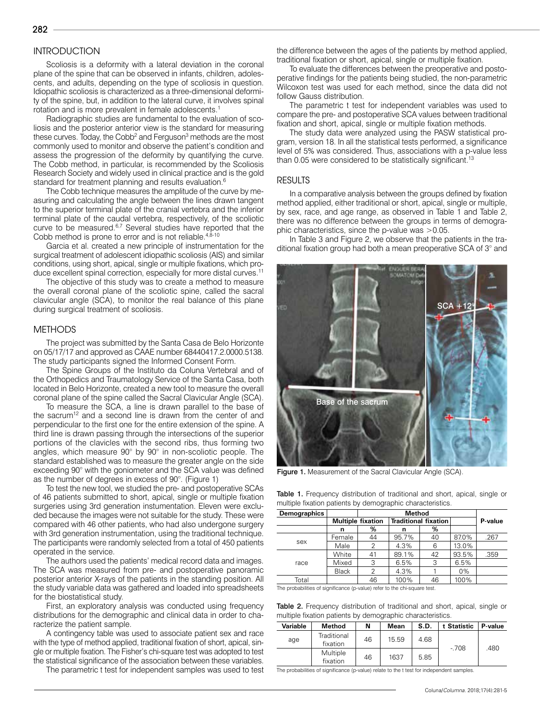# **INTRODUCTION**

282

Scoliosis is a deformity with a lateral deviation in the coronal plane of the spine that can be observed in infants, children, adolescents, and adults, depending on the type of scoliosis in question. Idiopathic scoliosis is characterized as a three-dimensional deformity of the spine, but, in addition to the lateral curve, it involves spinal rotation and is more prevalent in female adolescents.1

Radiographic studies are fundamental to the evaluation of scoliosis and the posterior anterior view is the standard for measuring these curves. Today, the Cobb<sup>2</sup> and Ferguson<sup>3</sup> methods are the most commonly used to monitor and observe the patient's condition and assess the progression of the deformity by quantifying the curve. The Cobb method, in particular, is recommended by the Scoliosis Research Society and widely used in clinical practice and is the gold standard for treatment planning and results evaluation.<sup>6</sup>

The Cobb technique measures the amplitude of the curve by measuring and calculating the angle between the lines drawn tangent to the superior terminal plate of the cranial vertebra and the inferior terminal plate of the caudal vertebra, respectively, of the scoliotic curve to be measured.<sup>6,7</sup> Several studies have reported that the Cobb method is prone to error and is not reliable. $4,8-10$ 

Garcia et al. created a new principle of instrumentation for the surgical treatment of adolescent idiopathic scoliosis (AIS) and similar conditions, using short, apical, single or multiple fixations, which produce excellent spinal correction, especially for more distal curves.11

The objective of this study was to create a method to measure the overall coronal plane of the scoliotic spine, called the sacral clavicular angle (SCA), to monitor the real balance of this plane during surgical treatment of scoliosis.

#### METHODS

The project was submitted by the Santa Casa de Belo Horizonte on 05/17/17 and approved as CAAE number 68440417.2.0000.5138. The study participants signed the Informed Consent Form.

The Spine Groups of the Instituto da Coluna Vertebral and of the Orthopedics and Traumatology Service of the Santa Casa, both located in Belo Horizonte, created a new tool to measure the overall coronal plane of the spine called the Sacral Clavicular Angle (SCA).

To measure the SCA, a line is drawn parallel to the base of the sacrum<sup>12</sup> and a second line is drawn from the center of and perpendicular to the first one for the entire extension of the spine. A third line is drawn passing through the intersections of the superior portions of the clavicles with the second ribs, thus forming two angles, which measure 90° by 90° in non-scoliotic people. The standard established was to measure the greater angle on the side exceeding 90° with the goniometer and the SCA value was defined as the number of degrees in excess of 90°. (Figure 1)

To test the new tool, we studied the pre- and postoperative SCAs of 46 patients submitted to short, apical, single or multiple fixation surgeries using 3rd generation instumentation. Eleven were excluded because the images were not suitable for the study. These were compared with 46 other patients, who had also undergone surgery with 3rd generation instrumentation, using the traditional technique. The participants were randomly selected from a total of 450 patients operated in the service.

The authors used the patients' medical record data and images. The SCA was measured from pre- and postoperative panoramic posterior anterior X-rays of the patients in the standing position. All the study variable data was gathered and loaded into spreadsheets for the biostatistical study.

First, an exploratory analysis was conducted using frequency distributions for the demographic and clinical data in order to characterize the patient sample.

A contingency table was used to associate patient sex and race with the type of method applied, traditional fixation of short, apical, single or multiple fixation. The Fisher's chi-square test was adopted to test the statistical significance of the association between these variables.

The parametric t test for independent samples was used to test

the difference between the ages of the patients by method applied, traditional fixation or short, apical, single or multiple fixation.

To evaluate the differences between the preoperative and postoperative findings for the patients being studied, the non-parametric Wilcoxon test was used for each method, since the data did not follow Gauss distribution.

The parametric t test for independent variables was used to compare the pre- and postoperative SCA values between traditional fixation and short, apical, single or multiple fixation methods.

The study data were analyzed using the PASW statistical program, version 18. In all the statistical tests performed, a significance level of 5% was considered. Thus, associations with a p-value less than 0.05 were considered to be statistically significant.<sup>13</sup>

#### RESULTS

In a comparative analysis between the groups defined by fixation method applied, either traditional or short, apical, single or multiple, by sex, race, and age range, as observed in Table 1 and Table 2, there was no difference between the groups in terms of demographic characteristics, since the p-value was >0.05.

In Table 3 and Figure 2, we observe that the patients in the traditional fixation group had both a mean preoperative SCA of 3° and



Figure 1. Measurement of the Sacral Clavicular Angle (SCA).

| <b>Table 1.</b> Frequency distribution of traditional and short, apical, single or |  |  |  |
|------------------------------------------------------------------------------------|--|--|--|
| multiple fixation patients by demographic characteristics.                         |  |  |  |

| <b>Demographics</b> |              |                          |       |                             |       |         |
|---------------------|--------------|--------------------------|-------|-----------------------------|-------|---------|
|                     |              | <b>Multiple fixation</b> |       | <b>Traditional fixation</b> |       | P-value |
|                     | n            | %                        | n     | %                           |       |         |
| sex                 | Female       | 44                       | 95.7% | 40                          | 87.0% | .267    |
|                     | Male         |                          | 4.3%  | 6                           | 13.0% |         |
| race                | White        | 41                       | 89.1% | 42                          | 93.5% | .359    |
|                     | Mixed        | 3                        | 6.5%  | 3                           | 6.5%  |         |
|                     | <b>Black</b> | 2                        | 4.3%  |                             | 0%    |         |
| Total               |              | 46                       | 100%  | 46                          | 100%  |         |

The probabilities of significance (p-value) refer to the chi-square test.

Table 2. Frequency distribution of traditional and short, apical, single or multiple fixation patients by demographic characteristics.

| Variable | Method                  | Ν  | Mean  | S.D. | t Statistic | P-value |  |
|----------|-------------------------|----|-------|------|-------------|---------|--|
| age      | Traditional<br>fixation | 46 | 15.59 | 4.68 |             | .480    |  |
|          | Multiple<br>fixation    | 46 | 1637  | 5.85 | $-708$      |         |  |

The probabilities of significance (p-value) relate to the t test for independent samples.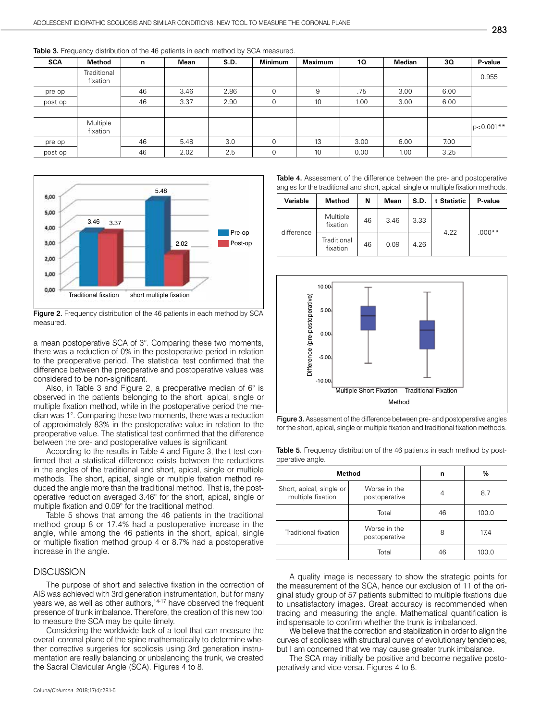| <b>SCA</b> | Method                  | $\mathsf{n}$ | Mean | S.D. | <b>Minimum</b> | <b>Maximum</b> | 10   | Median | 30   | P-value      |
|------------|-------------------------|--------------|------|------|----------------|----------------|------|--------|------|--------------|
|            | Traditional<br>fixation |              |      |      |                |                |      |        |      | 0.955        |
| pre op     |                         | 46           | 3.46 | 2.86 | 0              | 9              | .75  | 3.00   | 6.00 |              |
| post op    |                         | 46           | 3.37 | 2.90 | 0              | 10             | 1.00 | 3.00   | 6.00 |              |
|            |                         |              |      |      |                |                |      |        |      |              |
|            | Multiple<br>fixation    |              |      |      |                |                |      |        |      | $ p<0.001**$ |
| pre op     |                         | 46           | 5.48 | 3.0  | 0              | 13             | 3.00 | 6.00   | 7.00 |              |
| post op    |                         | 46           | 2.02 | 2.5  | 0              | 10             | 0.00 | 1.00   | 3.25 |              |

Table 3. Frequency distribution of the 46 patients in each method by SCA measured.



Figure 2. Frequency distribution of the 46 patients in each method by SCA measured.

a mean postoperative SCA of 3°. Comparing these two moments, there was a reduction of 0% in the postoperative period in relation to the preoperative period. The statistical test confirmed that the difference between the preoperative and postoperative values was considered to be non-significant.

Also, in Table 3 and Figure 2, a preoperative median of  $6^\circ$  is observed in the patients belonging to the short, apical, single or multiple fixation method, while in the postoperative period the median was 1°. Comparing these two moments, there was a reduction of approximately 83% in the postoperative value in relation to the preoperative value. The statistical test confirmed that the difference between the pre- and postoperative values is significant.

According to the results in Table 4 and Figure 3, the t test confirmed that a statistical difference exists between the reductions in the angles of the traditional and short, apical, single or multiple methods. The short, apical, single or multiple fixation method reduced the angle more than the traditional method. That is, the postoperative reduction averaged 3.46° for the short, apical, single or multiple fixation and 0.09° for the traditional method.

Table 5 shows that among the 46 patients in the traditional method group 8 or 17.4% had a postoperative increase in the angle, while among the 46 patients in the short, apical, single or multiple fixation method group 4 or 8.7% had a postoperative increase in the angle.

# **DISCUSSION**

The purpose of short and selective fixation in the correction of AIS was achieved with 3rd generation instrumentation, but for many years we, as well as other authors,<sup>14-17</sup> have observed the frequent presence of trunk imbalance. Therefore, the creation of this new tool to measure the SCA may be quite timely.

Considering the worldwide lack of a tool that can measure the overall coronal plane of the spine mathematically to determine whether corrective surgeries for scoliosis using 3rd generation instrumentation are really balancing or unbalancing the trunk, we created the Sacral Clavicular Angle (SCA). Figures 4 to 8.

Table 4. Assessment of the difference between the pre- and postoperative angles for the traditional and short, apical, single or multiple fixation methods.

| <b>Variable</b> | <b>Method</b>           | N  | Mean | S.D. | t Statistic | P-value  |
|-----------------|-------------------------|----|------|------|-------------|----------|
| difference      | Multiple<br>fixation    | 46 | 3.46 | 3.33 |             |          |
|                 | Traditional<br>fixation | 46 | 0.09 | 4.26 | 4.22        | $.000**$ |



Figure 3. Assessment of the difference between pre- and postoperative angles for the short, apical, single or multiple fixation and traditional fixation methods.

Table 5. Frequency distribution of the 46 patients in each method by postoperative angle.

| Method                                        | n                             | %  |       |
|-----------------------------------------------|-------------------------------|----|-------|
| Short, apical, single or<br>multiple fixation | Worse in the<br>postoperative | 4  | 8.7   |
|                                               | Total                         | 46 | 100.0 |
| Traditional fixation                          | Worse in the<br>postoperative | 8  | 17.4  |
| Total                                         |                               | 46 | 100.0 |

A quality image is necessary to show the strategic points for the measurement of the SCA, hence our exclusion of 11 of the original study group of 57 patients submitted to multiple fixations due to unsatisfactory images. Great accuracy is recommended when tracing and measuring the angle. Mathematical quantification is indispensable to confirm whether the trunk is imbalanced.

We believe that the correction and stabilization in order to align the curves of scolioses with structural curves of evolutionary tendencies, but I am concerned that we may cause greater trunk imbalance.

The SCA may initially be positive and become negative postoperatively and vice-versa. Figures 4 to 8.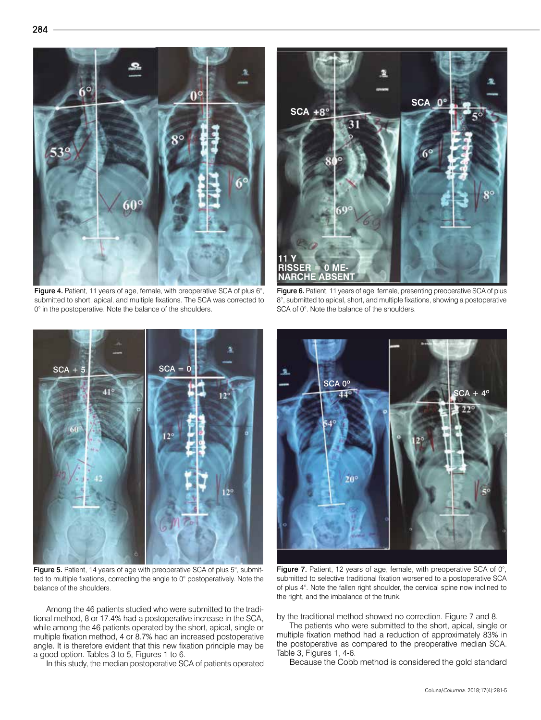

Figure 4. Patient, 11 years of age, female, with preoperative SCA of plus 6°, submitted to short, apical, and multiple fixations. The SCA was corrected to 0° in the postoperative. Note the balance of the shoulders.



Figure 6. Patient, 11 years of age, female, presenting preoperative SCA of plus 8°, submitted to apical, short, and multiple fixations, showing a postoperative SCA of 0°. Note the balance of the shoulders.



Figure 5. Patient, 14 years of age with preoperative SCA of plus 5°, submitted to multiple fixations, correcting the angle to 0° postoperatively. Note the balance of the shoulders.

Among the 46 patients studied who were submitted to the traditional method, 8 or 17.4% had a postoperative increase in the SCA, while among the 46 patients operated by the short, apical, single or multiple fixation method, 4 or 8.7% had an increased postoperative angle. It is therefore evident that this new fixation principle may be a good option. Tables 3 to 5, Figures 1 to 6.

In this study, the median postoperative SCA of patients operated



Figure 7. Patient, 12 years of age, female, with preoperative SCA of 0°, submitted to selective traditional fixation worsened to a postoperative SCA of plus 4°. Note the fallen right shoulder, the cervical spine now inclined to the right, and the imbalance of the trunk.

by the traditional method showed no correction. Figure 7 and 8.

The patients who were submitted to the short, apical, single or multiple fixation method had a reduction of approximately 83% in the postoperative as compared to the preoperative median SCA. Table 3, Figures 1, 4-6.

Because the Cobb method is considered the gold standard